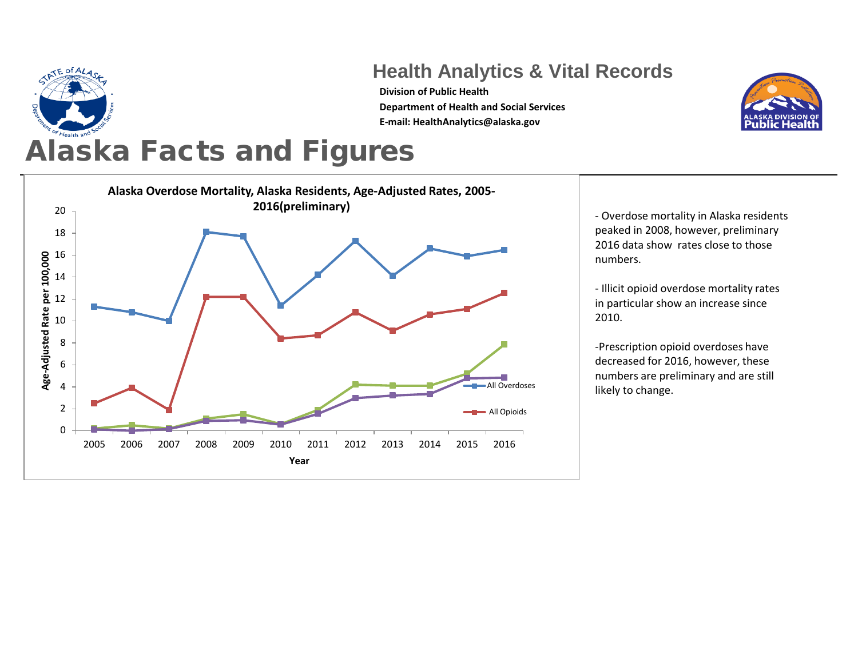

## **Health Analytics & Vital Records**

**Division of Public Health Department of Health and Social Services E-mail: HealthAnalytics@alaska.gov**



## Alaska Facts and Figures



- Overdose mortality in Alaska residents peaked in 2008, however, preliminary 2016 data show rates close to those numbers.

- Illicit opioid overdose mortality rates in particular show an increase since 2010.

-Prescription opioid overdoses have decreased for 2016, however, these numbers are preliminary and are still likely to change.